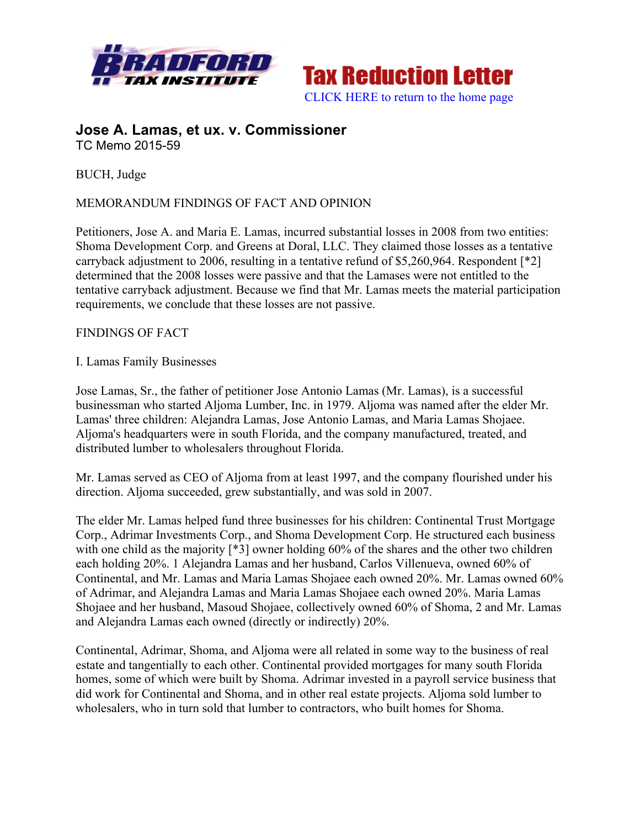



### **Jose A. Lamas, et ux. v. Commissioner** TC Memo 2015-59

BUCH, Judge

### MEMORANDUM FINDINGS OF FACT AND OPINION

Petitioners, Jose A. and Maria E. Lamas, incurred substantial losses in 2008 from two entities: Shoma Development Corp. and Greens at Doral, LLC. They claimed those losses as a tentative carryback adjustment to 2006, resulting in a tentative refund of \$5,260,964. Respondent [\*2] determined that the 2008 losses were passive and that the Lamases were not entitled to the tentative carryback adjustment. Because we find that Mr. Lamas meets the material participation requirements, we conclude that these losses are not passive.

#### FINDINGS OF FACT

#### I. Lamas Family Businesses

Jose Lamas, Sr., the father of petitioner Jose Antonio Lamas (Mr. Lamas), is a successful businessman who started Aljoma Lumber, Inc. in 1979. Aljoma was named after the elder Mr. Lamas' three children: Alejandra Lamas, Jose Antonio Lamas, and Maria Lamas Shojaee. Aljoma's headquarters were in south Florida, and the company manufactured, treated, and distributed lumber to wholesalers throughout Florida.

Mr. Lamas served as CEO of Aljoma from at least 1997, and the company flourished under his direction. Aljoma succeeded, grew substantially, and was sold in 2007.

The elder Mr. Lamas helped fund three businesses for his children: Continental Trust Mortgage Corp., Adrimar Investments Corp., and Shoma Development Corp. He structured each business with one child as the majority [\*3] owner holding 60% of the shares and the other two children each holding 20%. 1 Alejandra Lamas and her husband, Carlos Villenueva, owned 60% of Continental, and Mr. Lamas and Maria Lamas Shojaee each owned 20%. Mr. Lamas owned 60% of Adrimar, and Alejandra Lamas and Maria Lamas Shojaee each owned 20%. Maria Lamas Shojaee and her husband, Masoud Shojaee, collectively owned 60% of Shoma, 2 and Mr. Lamas and Alejandra Lamas each owned (directly or indirectly) 20%.

Continental, Adrimar, Shoma, and Aljoma were all related in some way to the business of real estate and tangentially to each other. Continental provided mortgages for many south Florida homes, some of which were built by Shoma. Adrimar invested in a payroll service business that did work for Continental and Shoma, and in other real estate projects. Aljoma sold lumber to wholesalers, who in turn sold that lumber to contractors, who built homes for Shoma.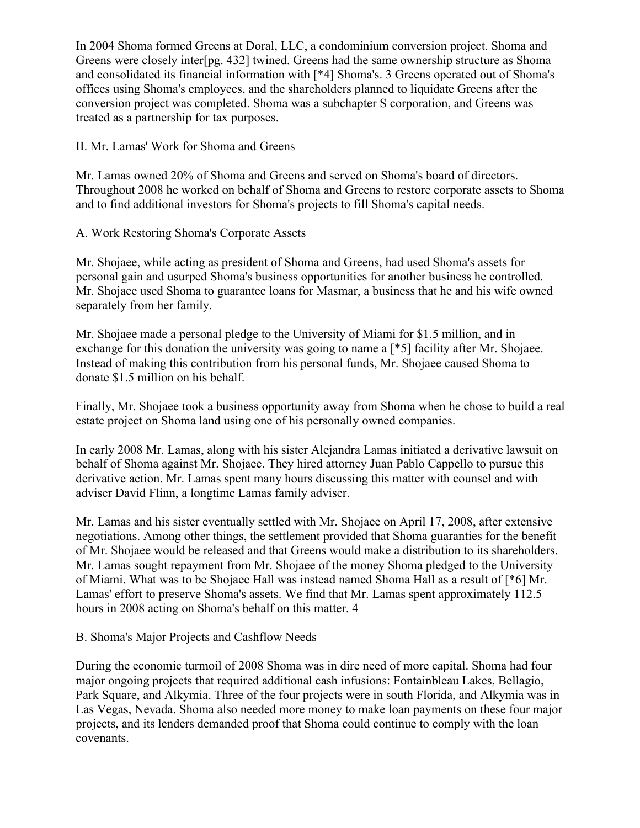In 2004 Shoma formed Greens at Doral, LLC, a condominium conversion project. Shoma and Greens were closely inter[pg. 432] twined. Greens had the same ownership structure as Shoma and consolidated its financial information with [\*4] Shoma's. 3 Greens operated out of Shoma's offices using Shoma's employees, and the shareholders planned to liquidate Greens after the conversion project was completed. Shoma was a subchapter S corporation, and Greens was treated as a partnership for tax purposes.

II. Mr. Lamas' Work for Shoma and Greens

Mr. Lamas owned 20% of Shoma and Greens and served on Shoma's board of directors. Throughout 2008 he worked on behalf of Shoma and Greens to restore corporate assets to Shoma and to find additional investors for Shoma's projects to fill Shoma's capital needs.

#### A. Work Restoring Shoma's Corporate Assets

Mr. Shojaee, while acting as president of Shoma and Greens, had used Shoma's assets for personal gain and usurped Shoma's business opportunities for another business he controlled. Mr. Shojaee used Shoma to guarantee loans for Masmar, a business that he and his wife owned separately from her family.

Mr. Shojaee made a personal pledge to the University of Miami for \$1.5 million, and in exchange for this donation the university was going to name a [\*5] facility after Mr. Shojaee. Instead of making this contribution from his personal funds, Mr. Shojaee caused Shoma to donate \$1.5 million on his behalf.

Finally, Mr. Shojaee took a business opportunity away from Shoma when he chose to build a real estate project on Shoma land using one of his personally owned companies.

In early 2008 Mr. Lamas, along with his sister Alejandra Lamas initiated a derivative lawsuit on behalf of Shoma against Mr. Shojaee. They hired attorney Juan Pablo Cappello to pursue this derivative action. Mr. Lamas spent many hours discussing this matter with counsel and with adviser David Flinn, a longtime Lamas family adviser.

Mr. Lamas and his sister eventually settled with Mr. Shojaee on April 17, 2008, after extensive negotiations. Among other things, the settlement provided that Shoma guaranties for the benefit of Mr. Shojaee would be released and that Greens would make a distribution to its shareholders. Mr. Lamas sought repayment from Mr. Shojaee of the money Shoma pledged to the University of Miami. What was to be Shojaee Hall was instead named Shoma Hall as a result of [\*6] Mr. Lamas' effort to preserve Shoma's assets. We find that Mr. Lamas spent approximately 112.5 hours in 2008 acting on Shoma's behalf on this matter. 4

# B. Shoma's Major Projects and Cashflow Needs

During the economic turmoil of 2008 Shoma was in dire need of more capital. Shoma had four major ongoing projects that required additional cash infusions: Fontainbleau Lakes, Bellagio, Park Square, and Alkymia. Three of the four projects were in south Florida, and Alkymia was in Las Vegas, Nevada. Shoma also needed more money to make loan payments on these four major projects, and its lenders demanded proof that Shoma could continue to comply with the loan covenants.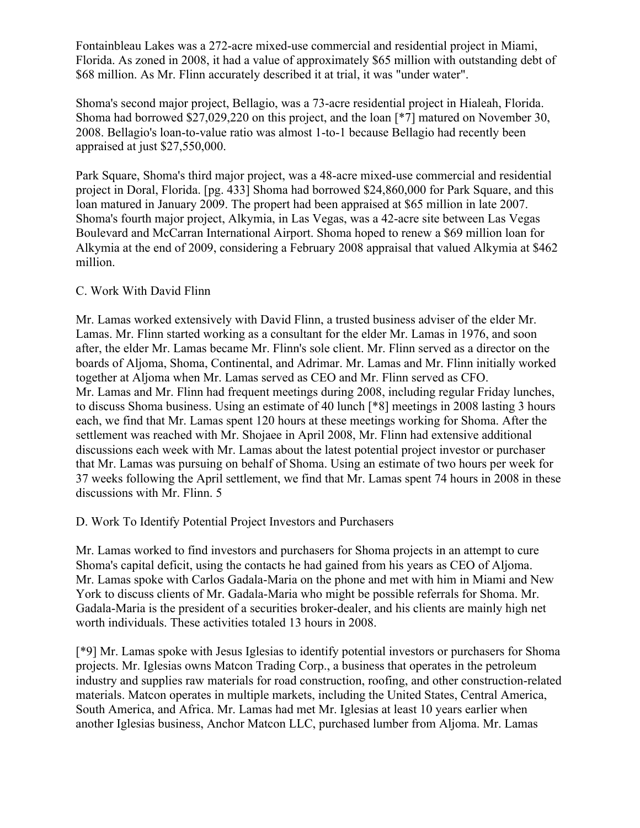Fontainbleau Lakes was a 272-acre mixed-use commercial and residential project in Miami, Florida. As zoned in 2008, it had a value of approximately \$65 million with outstanding debt of \$68 million. As Mr. Flinn accurately described it at trial, it was "under water".

Shoma's second major project, Bellagio, was a 73-acre residential project in Hialeah, Florida. Shoma had borrowed \$27,029,220 on this project, and the loan [\*7] matured on November 30, 2008. Bellagio's loan-to-value ratio was almost 1-to-1 because Bellagio had recently been appraised at just \$27,550,000.

Park Square, Shoma's third major project, was a 48-acre mixed-use commercial and residential project in Doral, Florida. [pg. 433] Shoma had borrowed \$24,860,000 for Park Square, and this loan matured in January 2009. The propert had been appraised at \$65 million in late 2007. Shoma's fourth major project, Alkymia, in Las Vegas, was a 42-acre site between Las Vegas Boulevard and McCarran International Airport. Shoma hoped to renew a \$69 million loan for Alkymia at the end of 2009, considering a February 2008 appraisal that valued Alkymia at \$462 million.

# C. Work With David Flinn

Mr. Lamas worked extensively with David Flinn, a trusted business adviser of the elder Mr. Lamas. Mr. Flinn started working as a consultant for the elder Mr. Lamas in 1976, and soon after, the elder Mr. Lamas became Mr. Flinn's sole client. Mr. Flinn served as a director on the boards of Aljoma, Shoma, Continental, and Adrimar. Mr. Lamas and Mr. Flinn initially worked together at Aljoma when Mr. Lamas served as CEO and Mr. Flinn served as CFO. Mr. Lamas and Mr. Flinn had frequent meetings during 2008, including regular Friday lunches, to discuss Shoma business. Using an estimate of 40 lunch [\*8] meetings in 2008 lasting 3 hours each, we find that Mr. Lamas spent 120 hours at these meetings working for Shoma. After the settlement was reached with Mr. Shojaee in April 2008, Mr. Flinn had extensive additional discussions each week with Mr. Lamas about the latest potential project investor or purchaser that Mr. Lamas was pursuing on behalf of Shoma. Using an estimate of two hours per week for 37 weeks following the April settlement, we find that Mr. Lamas spent 74 hours in 2008 in these discussions with Mr. Flinn. 5

D. Work To Identify Potential Project Investors and Purchasers

Mr. Lamas worked to find investors and purchasers for Shoma projects in an attempt to cure Shoma's capital deficit, using the contacts he had gained from his years as CEO of Aljoma. Mr. Lamas spoke with Carlos Gadala-Maria on the phone and met with him in Miami and New York to discuss clients of Mr. Gadala-Maria who might be possible referrals for Shoma. Mr. Gadala-Maria is the president of a securities broker-dealer, and his clients are mainly high net worth individuals. These activities totaled 13 hours in 2008.

[\*9] Mr. Lamas spoke with Jesus Iglesias to identify potential investors or purchasers for Shoma projects. Mr. Iglesias owns Matcon Trading Corp., a business that operates in the petroleum industry and supplies raw materials for road construction, roofing, and other construction-related materials. Matcon operates in multiple markets, including the United States, Central America, South America, and Africa. Mr. Lamas had met Mr. Iglesias at least 10 years earlier when another Iglesias business, Anchor Matcon LLC, purchased lumber from Aljoma. Mr. Lamas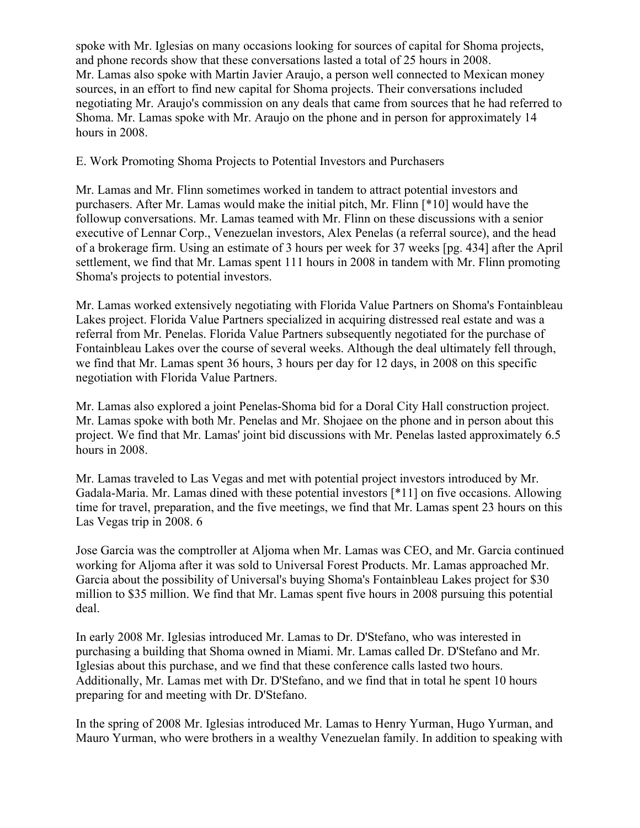spoke with Mr. Iglesias on many occasions looking for sources of capital for Shoma projects, and phone records show that these conversations lasted a total of 25 hours in 2008. Mr. Lamas also spoke with Martin Javier Araujo, a person well connected to Mexican money sources, in an effort to find new capital for Shoma projects. Their conversations included negotiating Mr. Araujo's commission on any deals that came from sources that he had referred to Shoma. Mr. Lamas spoke with Mr. Araujo on the phone and in person for approximately 14 hours in 2008.

### E. Work Promoting Shoma Projects to Potential Investors and Purchasers

Mr. Lamas and Mr. Flinn sometimes worked in tandem to attract potential investors and purchasers. After Mr. Lamas would make the initial pitch, Mr. Flinn [\*10] would have the followup conversations. Mr. Lamas teamed with Mr. Flinn on these discussions with a senior executive of Lennar Corp., Venezuelan investors, Alex Penelas (a referral source), and the head of a brokerage firm. Using an estimate of 3 hours per week for 37 weeks [pg. 434] after the April settlement, we find that Mr. Lamas spent 111 hours in 2008 in tandem with Mr. Flinn promoting Shoma's projects to potential investors.

Mr. Lamas worked extensively negotiating with Florida Value Partners on Shoma's Fontainbleau Lakes project. Florida Value Partners specialized in acquiring distressed real estate and was a referral from Mr. Penelas. Florida Value Partners subsequently negotiated for the purchase of Fontainbleau Lakes over the course of several weeks. Although the deal ultimately fell through, we find that Mr. Lamas spent 36 hours, 3 hours per day for 12 days, in 2008 on this specific negotiation with Florida Value Partners.

Mr. Lamas also explored a joint Penelas-Shoma bid for a Doral City Hall construction project. Mr. Lamas spoke with both Mr. Penelas and Mr. Shojaee on the phone and in person about this project. We find that Mr. Lamas' joint bid discussions with Mr. Penelas lasted approximately 6.5 hours in 2008.

Mr. Lamas traveled to Las Vegas and met with potential project investors introduced by Mr. Gadala-Maria. Mr. Lamas dined with these potential investors [\*11] on five occasions. Allowing time for travel, preparation, and the five meetings, we find that Mr. Lamas spent 23 hours on this Las Vegas trip in 2008. 6

Jose Garcia was the comptroller at Aljoma when Mr. Lamas was CEO, and Mr. Garcia continued working for Aljoma after it was sold to Universal Forest Products. Mr. Lamas approached Mr. Garcia about the possibility of Universal's buying Shoma's Fontainbleau Lakes project for \$30 million to \$35 million. We find that Mr. Lamas spent five hours in 2008 pursuing this potential deal.

In early 2008 Mr. Iglesias introduced Mr. Lamas to Dr. D'Stefano, who was interested in purchasing a building that Shoma owned in Miami. Mr. Lamas called Dr. D'Stefano and Mr. Iglesias about this purchase, and we find that these conference calls lasted two hours. Additionally, Mr. Lamas met with Dr. D'Stefano, and we find that in total he spent 10 hours preparing for and meeting with Dr. D'Stefano.

In the spring of 2008 Mr. Iglesias introduced Mr. Lamas to Henry Yurman, Hugo Yurman, and Mauro Yurman, who were brothers in a wealthy Venezuelan family. In addition to speaking with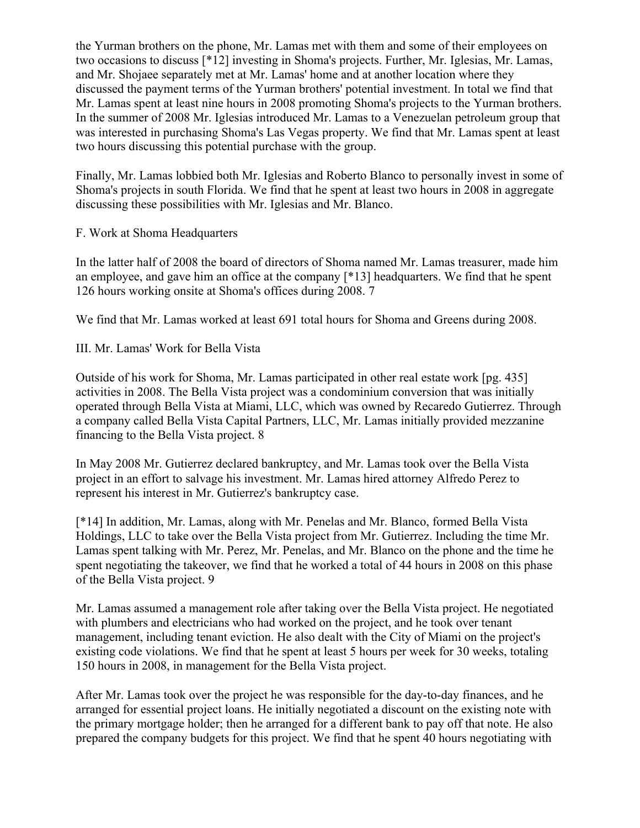the Yurman brothers on the phone, Mr. Lamas met with them and some of their employees on two occasions to discuss [\*12] investing in Shoma's projects. Further, Mr. Iglesias, Mr. Lamas, and Mr. Shojaee separately met at Mr. Lamas' home and at another location where they discussed the payment terms of the Yurman brothers' potential investment. In total we find that Mr. Lamas spent at least nine hours in 2008 promoting Shoma's projects to the Yurman brothers. In the summer of 2008 Mr. Iglesias introduced Mr. Lamas to a Venezuelan petroleum group that was interested in purchasing Shoma's Las Vegas property. We find that Mr. Lamas spent at least two hours discussing this potential purchase with the group.

Finally, Mr. Lamas lobbied both Mr. Iglesias and Roberto Blanco to personally invest in some of Shoma's projects in south Florida. We find that he spent at least two hours in 2008 in aggregate discussing these possibilities with Mr. Iglesias and Mr. Blanco.

#### F. Work at Shoma Headquarters

In the latter half of 2008 the board of directors of Shoma named Mr. Lamas treasurer, made him an employee, and gave him an office at the company [\*13] headquarters. We find that he spent 126 hours working onsite at Shoma's offices during 2008. 7

We find that Mr. Lamas worked at least 691 total hours for Shoma and Greens during 2008.

III. Mr. Lamas' Work for Bella Vista

Outside of his work for Shoma, Mr. Lamas participated in other real estate work [pg. 435] activities in 2008. The Bella Vista project was a condominium conversion that was initially operated through Bella Vista at Miami, LLC, which was owned by Recaredo Gutierrez. Through a company called Bella Vista Capital Partners, LLC, Mr. Lamas initially provided mezzanine financing to the Bella Vista project. 8

In May 2008 Mr. Gutierrez declared bankruptcy, and Mr. Lamas took over the Bella Vista project in an effort to salvage his investment. Mr. Lamas hired attorney Alfredo Perez to represent his interest in Mr. Gutierrez's bankruptcy case.

[\*14] In addition, Mr. Lamas, along with Mr. Penelas and Mr. Blanco, formed Bella Vista Holdings, LLC to take over the Bella Vista project from Mr. Gutierrez. Including the time Mr. Lamas spent talking with Mr. Perez, Mr. Penelas, and Mr. Blanco on the phone and the time he spent negotiating the takeover, we find that he worked a total of 44 hours in 2008 on this phase of the Bella Vista project. 9

Mr. Lamas assumed a management role after taking over the Bella Vista project. He negotiated with plumbers and electricians who had worked on the project, and he took over tenant management, including tenant eviction. He also dealt with the City of Miami on the project's existing code violations. We find that he spent at least 5 hours per week for 30 weeks, totaling 150 hours in 2008, in management for the Bella Vista project.

After Mr. Lamas took over the project he was responsible for the day-to-day finances, and he arranged for essential project loans. He initially negotiated a discount on the existing note with the primary mortgage holder; then he arranged for a different bank to pay off that note. He also prepared the company budgets for this project. We find that he spent 40 hours negotiating with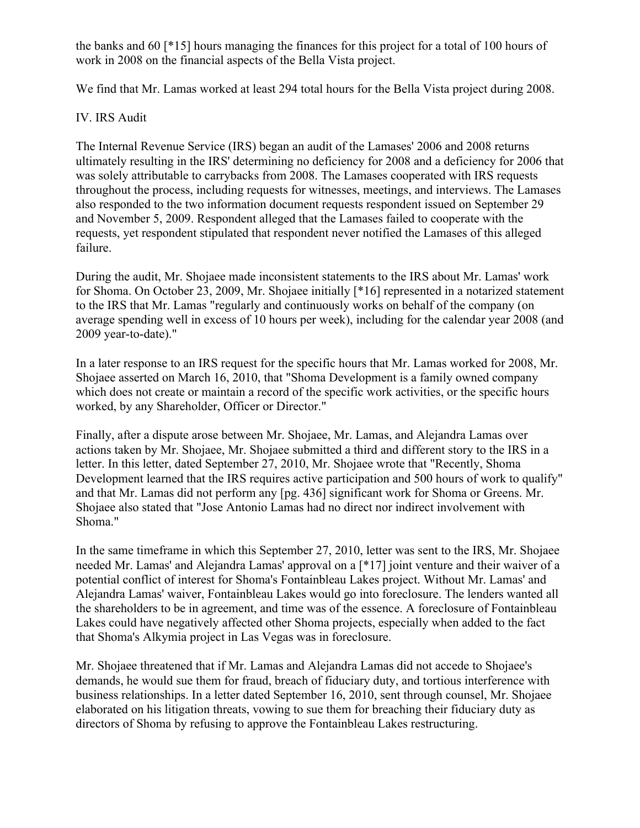the banks and 60 [\*15] hours managing the finances for this project for a total of 100 hours of work in 2008 on the financial aspects of the Bella Vista project.

We find that Mr. Lamas worked at least 294 total hours for the Bella Vista project during 2008.

# IV. IRS Audit

The Internal Revenue Service (IRS) began an audit of the Lamases' 2006 and 2008 returns ultimately resulting in the IRS' determining no deficiency for 2008 and a deficiency for 2006 that was solely attributable to carrybacks from 2008. The Lamases cooperated with IRS requests throughout the process, including requests for witnesses, meetings, and interviews. The Lamases also responded to the two information document requests respondent issued on September 29 and November 5, 2009. Respondent alleged that the Lamases failed to cooperate with the requests, yet respondent stipulated that respondent never notified the Lamases of this alleged failure.

During the audit, Mr. Shojaee made inconsistent statements to the IRS about Mr. Lamas' work for Shoma. On October 23, 2009, Mr. Shojaee initially [\*16] represented in a notarized statement to the IRS that Mr. Lamas "regularly and continuously works on behalf of the company (on average spending well in excess of 10 hours per week), including for the calendar year 2008 (and 2009 year-to-date)."

In a later response to an IRS request for the specific hours that Mr. Lamas worked for 2008, Mr. Shojaee asserted on March 16, 2010, that "Shoma Development is a family owned company which does not create or maintain a record of the specific work activities, or the specific hours worked, by any Shareholder, Officer or Director."

Finally, after a dispute arose between Mr. Shojaee, Mr. Lamas, and Alejandra Lamas over actions taken by Mr. Shojaee, Mr. Shojaee submitted a third and different story to the IRS in a letter. In this letter, dated September 27, 2010, Mr. Shojaee wrote that "Recently, Shoma Development learned that the IRS requires active participation and 500 hours of work to qualify" and that Mr. Lamas did not perform any [pg. 436] significant work for Shoma or Greens. Mr. Shojaee also stated that "Jose Antonio Lamas had no direct nor indirect involvement with Shoma."

In the same timeframe in which this September 27, 2010, letter was sent to the IRS, Mr. Shojaee needed Mr. Lamas' and Alejandra Lamas' approval on a [\*17] joint venture and their waiver of a potential conflict of interest for Shoma's Fontainbleau Lakes project. Without Mr. Lamas' and Alejandra Lamas' waiver, Fontainbleau Lakes would go into foreclosure. The lenders wanted all the shareholders to be in agreement, and time was of the essence. A foreclosure of Fontainbleau Lakes could have negatively affected other Shoma projects, especially when added to the fact that Shoma's Alkymia project in Las Vegas was in foreclosure.

Mr. Shojaee threatened that if Mr. Lamas and Alejandra Lamas did not accede to Shojaee's demands, he would sue them for fraud, breach of fiduciary duty, and tortious interference with business relationships. In a letter dated September 16, 2010, sent through counsel, Mr. Shojaee elaborated on his litigation threats, vowing to sue them for breaching their fiduciary duty as directors of Shoma by refusing to approve the Fontainbleau Lakes restructuring.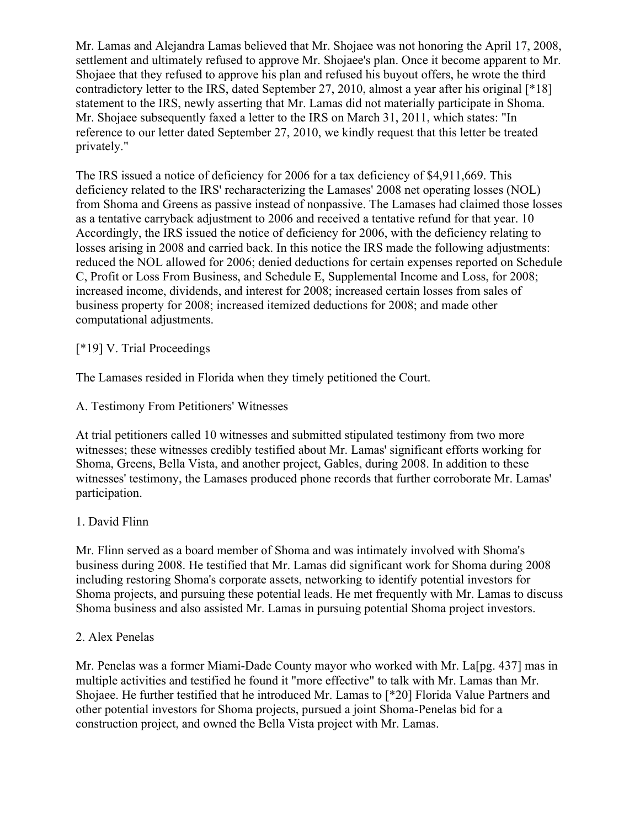Mr. Lamas and Alejandra Lamas believed that Mr. Shojaee was not honoring the April 17, 2008, settlement and ultimately refused to approve Mr. Shojaee's plan. Once it become apparent to Mr. Shojaee that they refused to approve his plan and refused his buyout offers, he wrote the third contradictory letter to the IRS, dated September 27, 2010, almost a year after his original [\*18] statement to the IRS, newly asserting that Mr. Lamas did not materially participate in Shoma. Mr. Shojaee subsequently faxed a letter to the IRS on March 31, 2011, which states: "In reference to our letter dated September 27, 2010, we kindly request that this letter be treated privately."

The IRS issued a notice of deficiency for 2006 for a tax deficiency of \$4,911,669. This deficiency related to the IRS' recharacterizing the Lamases' 2008 net operating losses (NOL) from Shoma and Greens as passive instead of nonpassive. The Lamases had claimed those losses as a tentative carryback adjustment to 2006 and received a tentative refund for that year. 10 Accordingly, the IRS issued the notice of deficiency for 2006, with the deficiency relating to losses arising in 2008 and carried back. In this notice the IRS made the following adjustments: reduced the NOL allowed for 2006; denied deductions for certain expenses reported on Schedule C, Profit or Loss From Business, and Schedule E, Supplemental Income and Loss, for 2008; increased income, dividends, and interest for 2008; increased certain losses from sales of business property for 2008; increased itemized deductions for 2008; and made other computational adjustments.

# [\*19] V. Trial Proceedings

The Lamases resided in Florida when they timely petitioned the Court.

A. Testimony From Petitioners' Witnesses

At trial petitioners called 10 witnesses and submitted stipulated testimony from two more witnesses; these witnesses credibly testified about Mr. Lamas' significant efforts working for Shoma, Greens, Bella Vista, and another project, Gables, during 2008. In addition to these witnesses' testimony, the Lamases produced phone records that further corroborate Mr. Lamas' participation.

# 1. David Flinn

Mr. Flinn served as a board member of Shoma and was intimately involved with Shoma's business during 2008. He testified that Mr. Lamas did significant work for Shoma during 2008 including restoring Shoma's corporate assets, networking to identify potential investors for Shoma projects, and pursuing these potential leads. He met frequently with Mr. Lamas to discuss Shoma business and also assisted Mr. Lamas in pursuing potential Shoma project investors.

# 2. Alex Penelas

Mr. Penelas was a former Miami-Dade County mayor who worked with Mr. La[pg. 437] mas in multiple activities and testified he found it "more effective" to talk with Mr. Lamas than Mr. Shojaee. He further testified that he introduced Mr. Lamas to [\*20] Florida Value Partners and other potential investors for Shoma projects, pursued a joint Shoma-Penelas bid for a construction project, and owned the Bella Vista project with Mr. Lamas.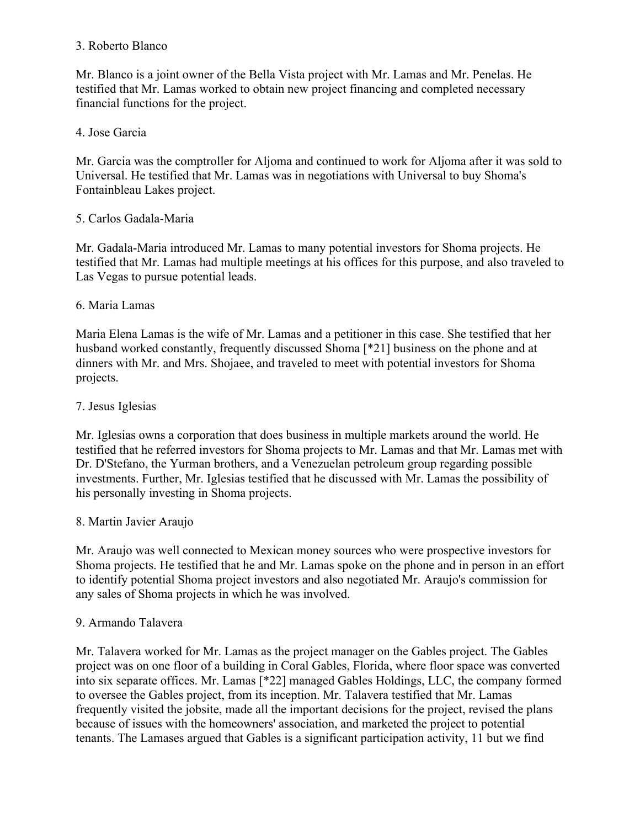### 3. Roberto Blanco

Mr. Blanco is a joint owner of the Bella Vista project with Mr. Lamas and Mr. Penelas. He testified that Mr. Lamas worked to obtain new project financing and completed necessary financial functions for the project.

# 4. Jose Garcia

Mr. Garcia was the comptroller for Aljoma and continued to work for Aljoma after it was sold to Universal. He testified that Mr. Lamas was in negotiations with Universal to buy Shoma's Fontainbleau Lakes project.

# 5. Carlos Gadala-Maria

Mr. Gadala-Maria introduced Mr. Lamas to many potential investors for Shoma projects. He testified that Mr. Lamas had multiple meetings at his offices for this purpose, and also traveled to Las Vegas to pursue potential leads.

# 6. Maria Lamas

Maria Elena Lamas is the wife of Mr. Lamas and a petitioner in this case. She testified that her husband worked constantly, frequently discussed Shoma [\*21] business on the phone and at dinners with Mr. and Mrs. Shojaee, and traveled to meet with potential investors for Shoma projects.

# 7. Jesus Iglesias

Mr. Iglesias owns a corporation that does business in multiple markets around the world. He testified that he referred investors for Shoma projects to Mr. Lamas and that Mr. Lamas met with Dr. D'Stefano, the Yurman brothers, and a Venezuelan petroleum group regarding possible investments. Further, Mr. Iglesias testified that he discussed with Mr. Lamas the possibility of his personally investing in Shoma projects.

# 8. Martin Javier Araujo

Mr. Araujo was well connected to Mexican money sources who were prospective investors for Shoma projects. He testified that he and Mr. Lamas spoke on the phone and in person in an effort to identify potential Shoma project investors and also negotiated Mr. Araujo's commission for any sales of Shoma projects in which he was involved.

# 9. Armando Talavera

Mr. Talavera worked for Mr. Lamas as the project manager on the Gables project. The Gables project was on one floor of a building in Coral Gables, Florida, where floor space was converted into six separate offices. Mr. Lamas [\*22] managed Gables Holdings, LLC, the company formed to oversee the Gables project, from its inception. Mr. Talavera testified that Mr. Lamas frequently visited the jobsite, made all the important decisions for the project, revised the plans because of issues with the homeowners' association, and marketed the project to potential tenants. The Lamases argued that Gables is a significant participation activity, 11 but we find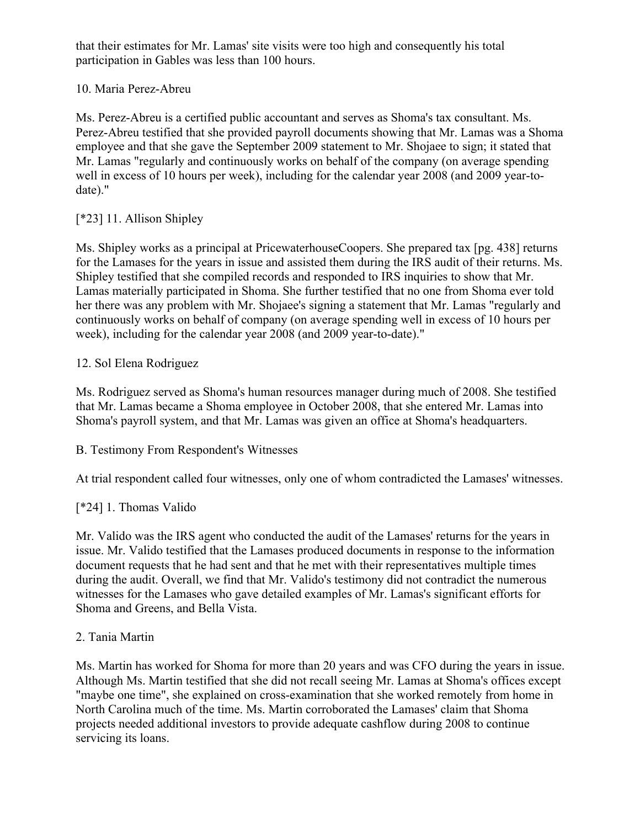that their estimates for Mr. Lamas' site visits were too high and consequently his total participation in Gables was less than 100 hours.

# 10. Maria Perez-Abreu

Ms. Perez-Abreu is a certified public accountant and serves as Shoma's tax consultant. Ms. Perez-Abreu testified that she provided payroll documents showing that Mr. Lamas was a Shoma employee and that she gave the September 2009 statement to Mr. Shojaee to sign; it stated that Mr. Lamas "regularly and continuously works on behalf of the company (on average spending well in excess of 10 hours per week), including for the calendar year 2008 (and 2009 year-todate)."

# [\*23] 11. Allison Shipley

Ms. Shipley works as a principal at PricewaterhouseCoopers. She prepared tax [pg. 438] returns for the Lamases for the years in issue and assisted them during the IRS audit of their returns. Ms. Shipley testified that she compiled records and responded to IRS inquiries to show that Mr. Lamas materially participated in Shoma. She further testified that no one from Shoma ever told her there was any problem with Mr. Shojaee's signing a statement that Mr. Lamas "regularly and continuously works on behalf of company (on average spending well in excess of 10 hours per week), including for the calendar year 2008 (and 2009 year-to-date)."

# 12. Sol Elena Rodriguez

Ms. Rodriguez served as Shoma's human resources manager during much of 2008. She testified that Mr. Lamas became a Shoma employee in October 2008, that she entered Mr. Lamas into Shoma's payroll system, and that Mr. Lamas was given an office at Shoma's headquarters.

B. Testimony From Respondent's Witnesses

At trial respondent called four witnesses, only one of whom contradicted the Lamases' witnesses.

# [\*24] 1. Thomas Valido

Mr. Valido was the IRS agent who conducted the audit of the Lamases' returns for the years in issue. Mr. Valido testified that the Lamases produced documents in response to the information document requests that he had sent and that he met with their representatives multiple times during the audit. Overall, we find that Mr. Valido's testimony did not contradict the numerous witnesses for the Lamases who gave detailed examples of Mr. Lamas's significant efforts for Shoma and Greens, and Bella Vista.

# 2. Tania Martin

Ms. Martin has worked for Shoma for more than 20 years and was CFO during the years in issue. Although Ms. Martin testified that she did not recall seeing Mr. Lamas at Shoma's offices except "maybe one time", she explained on cross-examination that she worked remotely from home in North Carolina much of the time. Ms. Martin corroborated the Lamases' claim that Shoma projects needed additional investors to provide adequate cashflow during 2008 to continue servicing its loans.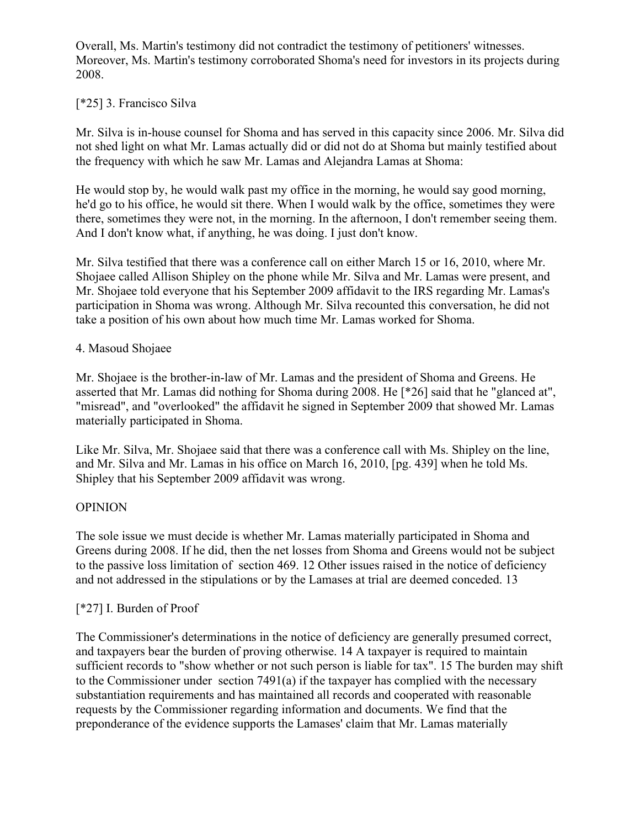Overall, Ms. Martin's testimony did not contradict the testimony of petitioners' witnesses. Moreover, Ms. Martin's testimony corroborated Shoma's need for investors in its projects during 2008.

### [\*25] 3. Francisco Silva

Mr. Silva is in-house counsel for Shoma and has served in this capacity since 2006. Mr. Silva did not shed light on what Mr. Lamas actually did or did not do at Shoma but mainly testified about the frequency with which he saw Mr. Lamas and Alejandra Lamas at Shoma:

He would stop by, he would walk past my office in the morning, he would say good morning, he'd go to his office, he would sit there. When I would walk by the office, sometimes they were there, sometimes they were not, in the morning. In the afternoon, I don't remember seeing them. And I don't know what, if anything, he was doing. I just don't know.

Mr. Silva testified that there was a conference call on either March 15 or 16, 2010, where Mr. Shojaee called Allison Shipley on the phone while Mr. Silva and Mr. Lamas were present, and Mr. Shojaee told everyone that his September 2009 affidavit to the IRS regarding Mr. Lamas's participation in Shoma was wrong. Although Mr. Silva recounted this conversation, he did not take a position of his own about how much time Mr. Lamas worked for Shoma.

#### 4. Masoud Shojaee

Mr. Shojaee is the brother-in-law of Mr. Lamas and the president of Shoma and Greens. He asserted that Mr. Lamas did nothing for Shoma during 2008. He [\*26] said that he "glanced at", "misread", and "overlooked" the affidavit he signed in September 2009 that showed Mr. Lamas materially participated in Shoma.

Like Mr. Silva, Mr. Shojaee said that there was a conference call with Ms. Shipley on the line, and Mr. Silva and Mr. Lamas in his office on March 16, 2010, [pg. 439] when he told Ms. Shipley that his September 2009 affidavit was wrong.

#### **OPINION**

The sole issue we must decide is whether Mr. Lamas materially participated in Shoma and Greens during 2008. If he did, then the net losses from Shoma and Greens would not be subject to the passive loss limitation of section 469. 12 Other issues raised in the notice of deficiency and not addressed in the stipulations or by the Lamases at trial are deemed conceded. 13

# [\*27] I. Burden of Proof

The Commissioner's determinations in the notice of deficiency are generally presumed correct, and taxpayers bear the burden of proving otherwise. 14 A taxpayer is required to maintain sufficient records to "show whether or not such person is liable for tax". 15 The burden may shift to the Commissioner under section 7491(a) if the taxpayer has complied with the necessary substantiation requirements and has maintained all records and cooperated with reasonable requests by the Commissioner regarding information and documents. We find that the preponderance of the evidence supports the Lamases' claim that Mr. Lamas materially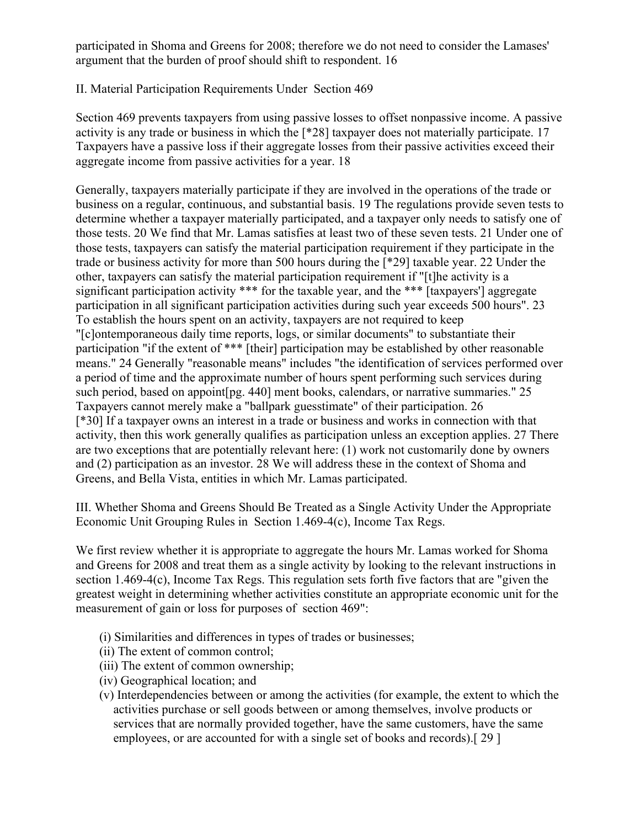participated in Shoma and Greens for 2008; therefore we do not need to consider the Lamases' argument that the burden of proof should shift to respondent. 16

# II. Material Participation Requirements Under Section 469

Section 469 prevents taxpayers from using passive losses to offset nonpassive income. A passive activity is any trade or business in which the [\*28] taxpayer does not materially participate. 17 Taxpayers have a passive loss if their aggregate losses from their passive activities exceed their aggregate income from passive activities for a year. 18

Generally, taxpayers materially participate if they are involved in the operations of the trade or business on a regular, continuous, and substantial basis. 19 The regulations provide seven tests to determine whether a taxpayer materially participated, and a taxpayer only needs to satisfy one of those tests. 20 We find that Mr. Lamas satisfies at least two of these seven tests. 21 Under one of those tests, taxpayers can satisfy the material participation requirement if they participate in the trade or business activity for more than 500 hours during the [\*29] taxable year. 22 Under the other, taxpayers can satisfy the material participation requirement if "[t]he activity is a significant participation activity \*\*\* for the taxable year, and the \*\*\* [taxpayers'] aggregate participation in all significant participation activities during such year exceeds 500 hours". 23 To establish the hours spent on an activity, taxpayers are not required to keep "[c]ontemporaneous daily time reports, logs, or similar documents" to substantiate their participation "if the extent of \*\*\* [their] participation may be established by other reasonable means." 24 Generally "reasonable means" includes "the identification of services performed over a period of time and the approximate number of hours spent performing such services during such period, based on appoint [pg. 440] ment books, calendars, or narrative summaries." 25 Taxpayers cannot merely make a "ballpark guesstimate" of their participation. 26 [\*30] If a taxpayer owns an interest in a trade or business and works in connection with that activity, then this work generally qualifies as participation unless an exception applies. 27 There are two exceptions that are potentially relevant here: (1) work not customarily done by owners and (2) participation as an investor. 28 We will address these in the context of Shoma and Greens, and Bella Vista, entities in which Mr. Lamas participated.

III. Whether Shoma and Greens Should Be Treated as a Single Activity Under the Appropriate Economic Unit Grouping Rules in Section 1.469-4(c), Income Tax Regs.

We first review whether it is appropriate to aggregate the hours Mr. Lamas worked for Shoma and Greens for 2008 and treat them as a single activity by looking to the relevant instructions in section 1.469-4(c), Income Tax Regs. This regulation sets forth five factors that are "given the greatest weight in determining whether activities constitute an appropriate economic unit for the measurement of gain or loss for purposes of section 469":

- (i) Similarities and differences in types of trades or businesses;
- (ii) The extent of common control;
- (iii) The extent of common ownership;
- (iv) Geographical location; and
- (v) Interdependencies between or among the activities (for example, the extent to which the activities purchase or sell goods between or among themselves, involve products or services that are normally provided together, have the same customers, have the same employees, or are accounted for with a single set of books and records).[ 29 ]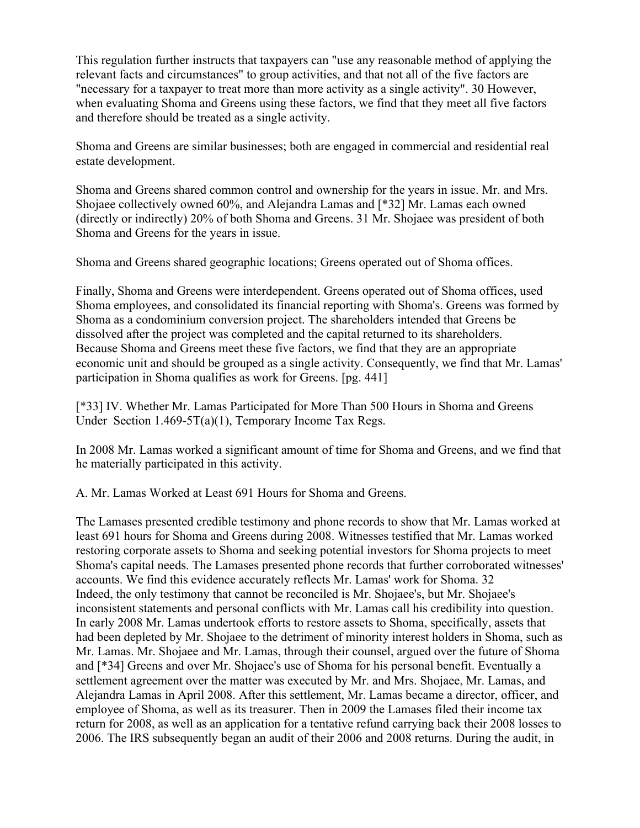This regulation further instructs that taxpayers can "use any reasonable method of applying the relevant facts and circumstances" to group activities, and that not all of the five factors are "necessary for a taxpayer to treat more than more activity as a single activity". 30 However, when evaluating Shoma and Greens using these factors, we find that they meet all five factors and therefore should be treated as a single activity.

Shoma and Greens are similar businesses; both are engaged in commercial and residential real estate development.

Shoma and Greens shared common control and ownership for the years in issue. Mr. and Mrs. Shojaee collectively owned 60%, and Alejandra Lamas and [\*32] Mr. Lamas each owned (directly or indirectly) 20% of both Shoma and Greens. 31 Mr. Shojaee was president of both Shoma and Greens for the years in issue.

Shoma and Greens shared geographic locations; Greens operated out of Shoma offices.

Finally, Shoma and Greens were interdependent. Greens operated out of Shoma offices, used Shoma employees, and consolidated its financial reporting with Shoma's. Greens was formed by Shoma as a condominium conversion project. The shareholders intended that Greens be dissolved after the project was completed and the capital returned to its shareholders. Because Shoma and Greens meet these five factors, we find that they are an appropriate economic unit and should be grouped as a single activity. Consequently, we find that Mr. Lamas' participation in Shoma qualifies as work for Greens. [pg. 441]

[\*33] IV. Whether Mr. Lamas Participated for More Than 500 Hours in Shoma and Greens Under Section 1.469-5T(a)(1), Temporary Income Tax Regs.

In 2008 Mr. Lamas worked a significant amount of time for Shoma and Greens, and we find that he materially participated in this activity.

A. Mr. Lamas Worked at Least 691 Hours for Shoma and Greens.

The Lamases presented credible testimony and phone records to show that Mr. Lamas worked at least 691 hours for Shoma and Greens during 2008. Witnesses testified that Mr. Lamas worked restoring corporate assets to Shoma and seeking potential investors for Shoma projects to meet Shoma's capital needs. The Lamases presented phone records that further corroborated witnesses' accounts. We find this evidence accurately reflects Mr. Lamas' work for Shoma. 32 Indeed, the only testimony that cannot be reconciled is Mr. Shojaee's, but Mr. Shojaee's inconsistent statements and personal conflicts with Mr. Lamas call his credibility into question. In early 2008 Mr. Lamas undertook efforts to restore assets to Shoma, specifically, assets that had been depleted by Mr. Shojaee to the detriment of minority interest holders in Shoma, such as Mr. Lamas. Mr. Shojaee and Mr. Lamas, through their counsel, argued over the future of Shoma and [\*34] Greens and over Mr. Shojaee's use of Shoma for his personal benefit. Eventually a settlement agreement over the matter was executed by Mr. and Mrs. Shojaee, Mr. Lamas, and Alejandra Lamas in April 2008. After this settlement, Mr. Lamas became a director, officer, and employee of Shoma, as well as its treasurer. Then in 2009 the Lamases filed their income tax return for 2008, as well as an application for a tentative refund carrying back their 2008 losses to 2006. The IRS subsequently began an audit of their 2006 and 2008 returns. During the audit, in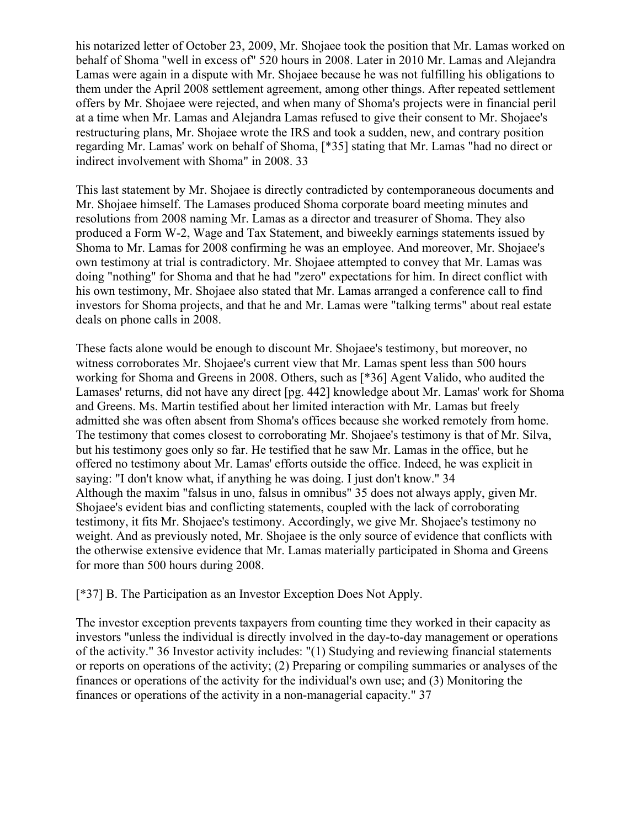his notarized letter of October 23, 2009, Mr. Shojaee took the position that Mr. Lamas worked on behalf of Shoma "well in excess of" 520 hours in 2008. Later in 2010 Mr. Lamas and Alejandra Lamas were again in a dispute with Mr. Shojaee because he was not fulfilling his obligations to them under the April 2008 settlement agreement, among other things. After repeated settlement offers by Mr. Shojaee were rejected, and when many of Shoma's projects were in financial peril at a time when Mr. Lamas and Alejandra Lamas refused to give their consent to Mr. Shojaee's restructuring plans, Mr. Shojaee wrote the IRS and took a sudden, new, and contrary position regarding Mr. Lamas' work on behalf of Shoma, [\*35] stating that Mr. Lamas "had no direct or indirect involvement with Shoma" in 2008. 33

This last statement by Mr. Shojaee is directly contradicted by contemporaneous documents and Mr. Shojaee himself. The Lamases produced Shoma corporate board meeting minutes and resolutions from 2008 naming Mr. Lamas as a director and treasurer of Shoma. They also produced a Form W-2, Wage and Tax Statement, and biweekly earnings statements issued by Shoma to Mr. Lamas for 2008 confirming he was an employee. And moreover, Mr. Shojaee's own testimony at trial is contradictory. Mr. Shojaee attempted to convey that Mr. Lamas was doing "nothing" for Shoma and that he had "zero" expectations for him. In direct conflict with his own testimony, Mr. Shojaee also stated that Mr. Lamas arranged a conference call to find investors for Shoma projects, and that he and Mr. Lamas were "talking terms" about real estate deals on phone calls in 2008.

These facts alone would be enough to discount Mr. Shojaee's testimony, but moreover, no witness corroborates Mr. Shojaee's current view that Mr. Lamas spent less than 500 hours working for Shoma and Greens in 2008. Others, such as [\*36] Agent Valido, who audited the Lamases' returns, did not have any direct [pg. 442] knowledge about Mr. Lamas' work for Shoma and Greens. Ms. Martin testified about her limited interaction with Mr. Lamas but freely admitted she was often absent from Shoma's offices because she worked remotely from home. The testimony that comes closest to corroborating Mr. Shojaee's testimony is that of Mr. Silva, but his testimony goes only so far. He testified that he saw Mr. Lamas in the office, but he offered no testimony about Mr. Lamas' efforts outside the office. Indeed, he was explicit in saying: "I don't know what, if anything he was doing. I just don't know." 34 Although the maxim "falsus in uno, falsus in omnibus" 35 does not always apply, given Mr. Shojaee's evident bias and conflicting statements, coupled with the lack of corroborating testimony, it fits Mr. Shojaee's testimony. Accordingly, we give Mr. Shojaee's testimony no weight. And as previously noted, Mr. Shojaee is the only source of evidence that conflicts with the otherwise extensive evidence that Mr. Lamas materially participated in Shoma and Greens for more than 500 hours during 2008.

[\*37] B. The Participation as an Investor Exception Does Not Apply.

The investor exception prevents taxpayers from counting time they worked in their capacity as investors "unless the individual is directly involved in the day-to-day management or operations of the activity." 36 Investor activity includes: "(1) Studying and reviewing financial statements or reports on operations of the activity; (2) Preparing or compiling summaries or analyses of the finances or operations of the activity for the individual's own use; and (3) Monitoring the finances or operations of the activity in a non-managerial capacity." 37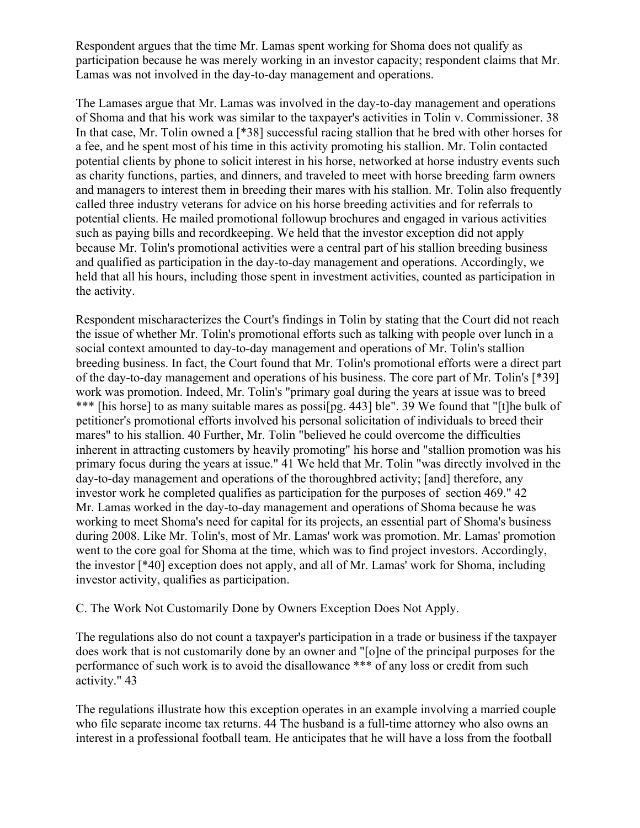Respondent argues that the time Mr. Lamas spent working for Shoma does not qualify as participation because he was merely working in an investor capacity; respondent claims that Mr. Lamas was not involved in the day-to-day management and operations.

The Lamases argue that Mr. Lamas was involved in the day-to-day management and operations of Shoma and that his work was similar to the taxpayer's activities in Tolin v. Commissioner. 38 In that case, Mr. Tolin owned a [\*38] successful racing stallion that he bred with other horses for a fee, and he spent most of his time in this activity promoting his stallion. Mr. Tolin contacted potential clients by phone to solicit interest in his horse, networked at horse industry events such as charity functions, parties, and dinners, and traveled to meet with horse breeding farm owners and managers to interest them in breeding their mares with his stallion. Mr. Tolin also frequently called three industry veterans for advice on his horse breeding activities and for referrals to potential clients. He mailed promotional followup brochures and engaged in various activities such as paying bills and recordkeeping. We held that the investor exception did not apply because Mr. Tolin's promotional activities were a central part of his stallion breeding business and qualified as participation in the day-to-day management and operations. Accordingly, we held that all his hours, including those spent in investment activities, counted as participation in the activity.

Respondent mischaracterizes the Court's findings in Tolin by stating that the Court did not reach the issue of whether Mr. Tolin's promotional efforts such as talking with people over lunch in a social context amounted to day-to-day management and operations of Mr. Tolin's stallion breeding business. In fact, the Court found that Mr. Tolin's promotional efforts were a direct part of the day-to-day management and operations of his business. The core part of Mr. Tolin's [\*39] work was promotion. Indeed, Mr. Tolin's "primary goal during the years at issue was to breed \*\*\* [his horse] to as many suitable mares as possi[pg. 443] ble". 39 We found that "[t]he bulk of petitioner's promotional efforts involved his personal solicitation of individuals to breed their mares" to his stallion. 40 Further, Mr. Tolin "believed he could overcome the difficulties inherent in attracting customers by heavily promoting" his horse and "stallion promotion was his primary focus during the years at issue." 41 We held that Mr. Tolin "was directly involved in the day-to-day management and operations of the thoroughbred activity; [and] therefore, any investor work he completed qualifies as participation for the purposes of section 469." 42 Mr. Lamas worked in the day-to-day management and operations of Shoma because he was working to meet Shoma's need for capital for its projects, an essential part of Shoma's business during 2008. Like Mr. Tolin's, most of Mr. Lamas' work was promotion. Mr. Lamas' promotion went to the core goal for Shoma at the time, which was to find project investors. Accordingly, the investor [\*40] exception does not apply, and all of Mr. Lamas' work for Shoma, including investor activity, qualifies as participation.

C. The Work Not Customarily Done by Owners Exception Does Not Apply.

The regulations also do not count a taxpayer's participation in a trade or business if the taxpayer does work that is not customarily done by an owner and "[o]ne of the principal purposes for the performance of such work is to avoid the disallowance \*\*\* of any loss or credit from such activity." 43

The regulations illustrate how this exception operates in an example involving a married couple who file separate income tax returns. 44 The husband is a full-time attorney who also owns an interest in a professional football team. He anticipates that he will have a loss from the football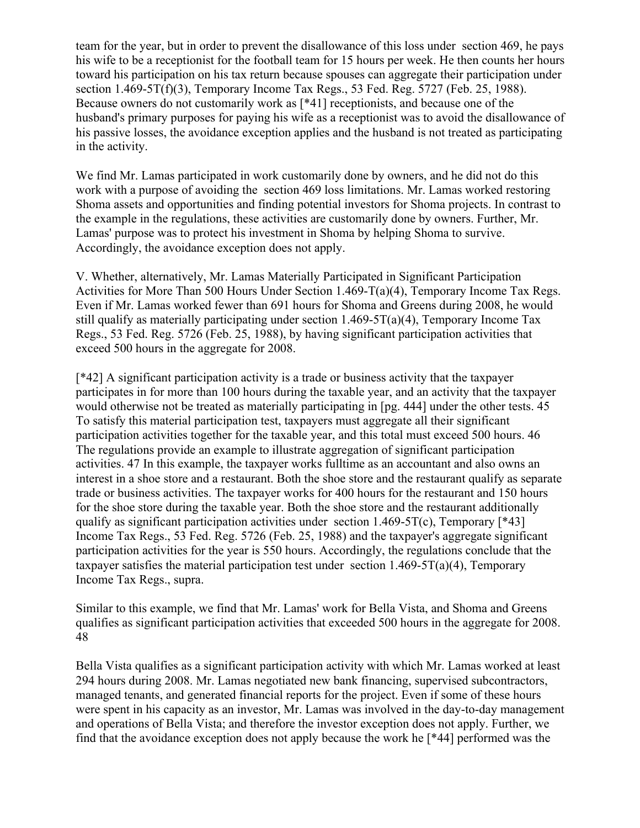team for the year, but in order to prevent the disallowance of this loss under section 469, he pays his wife to be a receptionist for the football team for 15 hours per week. He then counts her hours toward his participation on his tax return because spouses can aggregate their participation under section 1.469-5T(f)(3), Temporary Income Tax Regs., 53 Fed. Reg. 5727 (Feb. 25, 1988). Because owners do not customarily work as [\*41] receptionists, and because one of the husband's primary purposes for paying his wife as a receptionist was to avoid the disallowance of his passive losses, the avoidance exception applies and the husband is not treated as participating in the activity.

We find Mr. Lamas participated in work customarily done by owners, and he did not do this work with a purpose of avoiding the section 469 loss limitations. Mr. Lamas worked restoring Shoma assets and opportunities and finding potential investors for Shoma projects. In contrast to the example in the regulations, these activities are customarily done by owners. Further, Mr. Lamas' purpose was to protect his investment in Shoma by helping Shoma to survive. Accordingly, the avoidance exception does not apply.

V. Whether, alternatively, Mr. Lamas Materially Participated in Significant Participation Activities for More Than 500 Hours Under Section 1.469-T(a)(4), Temporary Income Tax Regs. Even if Mr. Lamas worked fewer than 691 hours for Shoma and Greens during 2008, he would still qualify as materially participating under section 1.469-5T(a)(4), Temporary Income Tax Regs., 53 Fed. Reg. 5726 (Feb. 25, 1988), by having significant participation activities that exceed 500 hours in the aggregate for 2008.

[\*42] A significant participation activity is a trade or business activity that the taxpayer participates in for more than 100 hours during the taxable year, and an activity that the taxpayer would otherwise not be treated as materially participating in [pg. 444] under the other tests. 45 To satisfy this material participation test, taxpayers must aggregate all their significant participation activities together for the taxable year, and this total must exceed 500 hours. 46 The regulations provide an example to illustrate aggregation of significant participation activities. 47 In this example, the taxpayer works fulltime as an accountant and also owns an interest in a shoe store and a restaurant. Both the shoe store and the restaurant qualify as separate trade or business activities. The taxpayer works for 400 hours for the restaurant and 150 hours for the shoe store during the taxable year. Both the shoe store and the restaurant additionally qualify as significant participation activities under section 1.469-5T(c), Temporary  $[*43]$ Income Tax Regs., 53 Fed. Reg. 5726 (Feb. 25, 1988) and the taxpayer's aggregate significant participation activities for the year is 550 hours. Accordingly, the regulations conclude that the taxpayer satisfies the material participation test under section 1.469-5T(a)(4), Temporary Income Tax Regs., supra.

Similar to this example, we find that Mr. Lamas' work for Bella Vista, and Shoma and Greens qualifies as significant participation activities that exceeded 500 hours in the aggregate for 2008. 48

Bella Vista qualifies as a significant participation activity with which Mr. Lamas worked at least 294 hours during 2008. Mr. Lamas negotiated new bank financing, supervised subcontractors, managed tenants, and generated financial reports for the project. Even if some of these hours were spent in his capacity as an investor, Mr. Lamas was involved in the day-to-day management and operations of Bella Vista; and therefore the investor exception does not apply. Further, we find that the avoidance exception does not apply because the work he [\*44] performed was the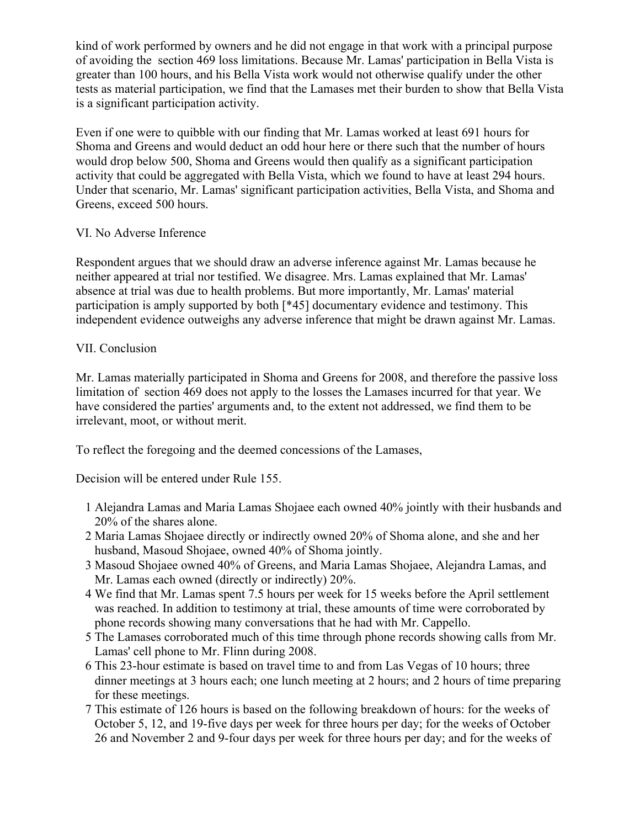kind of work performed by owners and he did not engage in that work with a principal purpose of avoiding the section 469 loss limitations. Because Mr. Lamas' participation in Bella Vista is greater than 100 hours, and his Bella Vista work would not otherwise qualify under the other tests as material participation, we find that the Lamases met their burden to show that Bella Vista is a significant participation activity.

Even if one were to quibble with our finding that Mr. Lamas worked at least 691 hours for Shoma and Greens and would deduct an odd hour here or there such that the number of hours would drop below 500, Shoma and Greens would then qualify as a significant participation activity that could be aggregated with Bella Vista, which we found to have at least 294 hours. Under that scenario, Mr. Lamas' significant participation activities, Bella Vista, and Shoma and Greens, exceed 500 hours.

# VI. No Adverse Inference

Respondent argues that we should draw an adverse inference against Mr. Lamas because he neither appeared at trial nor testified. We disagree. Mrs. Lamas explained that Mr. Lamas' absence at trial was due to health problems. But more importantly, Mr. Lamas' material participation is amply supported by both [\*45] documentary evidence and testimony. This independent evidence outweighs any adverse inference that might be drawn against Mr. Lamas.

# VII. Conclusion

Mr. Lamas materially participated in Shoma and Greens for 2008, and therefore the passive loss limitation of section 469 does not apply to the losses the Lamases incurred for that year. We have considered the parties' arguments and, to the extent not addressed, we find them to be irrelevant, moot, or without merit.

To reflect the foregoing and the deemed concessions of the Lamases,

Decision will be entered under Rule 155.

- 1 Alejandra Lamas and Maria Lamas Shojaee each owned 40% jointly with their husbands and 20% of the shares alone.
- 2 Maria Lamas Shojaee directly or indirectly owned 20% of Shoma alone, and she and her husband, Masoud Shojaee, owned 40% of Shoma jointly.
- 3 Masoud Shojaee owned 40% of Greens, and Maria Lamas Shojaee, Alejandra Lamas, and Mr. Lamas each owned (directly or indirectly) 20%.
- 4 We find that Mr. Lamas spent 7.5 hours per week for 15 weeks before the April settlement was reached. In addition to testimony at trial, these amounts of time were corroborated by phone records showing many conversations that he had with Mr. Cappello.
- 5 The Lamases corroborated much of this time through phone records showing calls from Mr. Lamas' cell phone to Mr. Flinn during 2008.
- 6 This 23-hour estimate is based on travel time to and from Las Vegas of 10 hours; three dinner meetings at 3 hours each; one lunch meeting at 2 hours; and 2 hours of time preparing for these meetings.
- 7 This estimate of 126 hours is based on the following breakdown of hours: for the weeks of October 5, 12, and 19-five days per week for three hours per day; for the weeks of October 26 and November 2 and 9-four days per week for three hours per day; and for the weeks of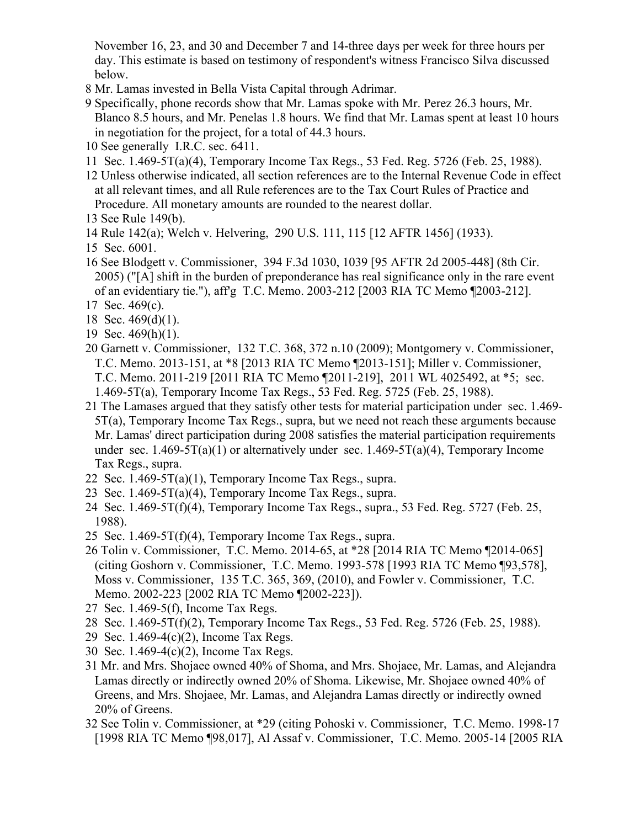November 16, 23, and 30 and December 7 and 14-three days per week for three hours per day. This estimate is based on testimony of respondent's witness Francisco Silva discussed below.

- 8 Mr. Lamas invested in Bella Vista Capital through Adrimar.
- 9 Specifically, phone records show that Mr. Lamas spoke with Mr. Perez 26.3 hours, Mr. Blanco 8.5 hours, and Mr. Penelas 1.8 hours. We find that Mr. Lamas spent at least 10 hours in negotiation for the project, for a total of 44.3 hours.
- 10 See generally I.R.C. sec. 6411.
- 11 Sec. 1.469-5T(a)(4), Temporary Income Tax Regs., 53 Fed. Reg. 5726 (Feb. 25, 1988).
- 12 Unless otherwise indicated, all section references are to the Internal Revenue Code in effect at all relevant times, and all Rule references are to the Tax Court Rules of Practice and Procedure. All monetary amounts are rounded to the nearest dollar.
- 13 See Rule 149(b).
- 14 Rule 142(a); Welch v. Helvering, 290 U.S. 111, 115 [12 AFTR 1456] (1933).
- 15 Sec. 6001.
- 16 See Blodgett v. Commissioner, 394 F.3d 1030, 1039 [95 AFTR 2d 2005-448] (8th Cir. 2005) ("[A] shift in the burden of preponderance has real significance only in the rare event of an evidentiary tie."), aff'g T.C. Memo. 2003-212 [2003 RIA TC Memo ¶2003-212].
- 17 Sec. 469(c).
- 18 Sec. 469(d)(1).
- 19 Sec. 469(h)(1).
- 20 Garnett v. Commissioner, 132 T.C. 368, 372 n.10 (2009); Montgomery v. Commissioner, T.C. Memo. 2013-151, at \*8 [2013 RIA TC Memo ¶2013-151]; Miller v. Commissioner, T.C. Memo. 2011-219 [2011 RIA TC Memo ¶2011-219], 2011 WL 4025492, at \*5; sec. 1.469-5T(a), Temporary Income Tax Regs., 53 Fed. Reg. 5725 (Feb. 25, 1988).
- 21 The Lamases argued that they satisfy other tests for material participation under sec. 1.469- 5T(a), Temporary Income Tax Regs., supra, but we need not reach these arguments because Mr. Lamas' direct participation during 2008 satisfies the material participation requirements under sec.  $1.469-5T(a)(1)$  or alternatively under sec.  $1.469-5T(a)(4)$ . Temporary Income Tax Regs., supra.
- 22 Sec.  $1.469 5T(a)(1)$ , Temporary Income Tax Regs., supra.
- 23 Sec.  $1.469 5T(a)(4)$ , Temporary Income Tax Regs., supra.
- 24 Sec. 1.469-5T(f)(4), Temporary Income Tax Regs., supra., 53 Fed. Reg. 5727 (Feb. 25, 1988).
- 25 Sec.  $1.469-5T(f)(4)$ , Temporary Income Tax Regs., supra.
- 26 Tolin v. Commissioner, T.C. Memo. 2014-65, at \*28 [2014 RIA TC Memo ¶2014-065] (citing Goshorn v. Commissioner, T.C. Memo. 1993-578 [1993 RIA TC Memo ¶93,578], Moss v. Commissioner, 135 T.C. 365, 369, (2010), and Fowler v. Commissioner, T.C. Memo. 2002-223 [2002 RIA TC Memo ¶2002-223]).
- 27 Sec. 1.469-5(f), Income Tax Regs.
- 28 Sec. 1.469-5T(f)(2), Temporary Income Tax Regs., 53 Fed. Reg. 5726 (Feb. 25, 1988).
- 29 Sec. 1.469-4(c)(2), Income Tax Regs.
- 30 Sec. 1.469-4(c)(2), Income Tax Regs.
- 31 Mr. and Mrs. Shojaee owned 40% of Shoma, and Mrs. Shojaee, Mr. Lamas, and Alejandra Lamas directly or indirectly owned 20% of Shoma. Likewise, Mr. Shojaee owned 40% of Greens, and Mrs. Shojaee, Mr. Lamas, and Alejandra Lamas directly or indirectly owned 20% of Greens.
- 32 See Tolin v. Commissioner, at \*29 (citing Pohoski v. Commissioner, T.C. Memo. 1998-17 [1998 RIA TC Memo ¶98,017], Al Assaf v. Commissioner, T.C. Memo. 2005-14 [2005 RIA